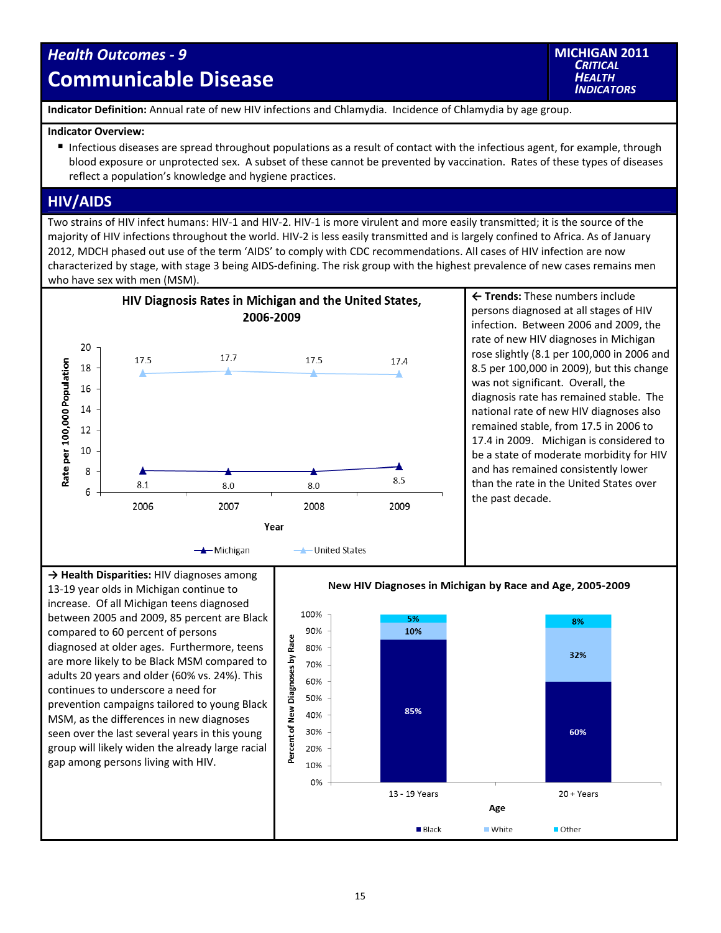## *Health Outcomes ‐ 9* **Communicable Disease**

**MICHIGAN 2011** *CRITICAL HEALTH INDICATORS*

**Indicator Definition:** Annual rate of new HIV infections and Chlamydia. Incidence of Chlamydia by age group.

## **Indicator Overview:**

Infectious diseases are spread throughout populations as a result of contact with the infectious agent, for example, through blood exposure or unprotected sex. A subset of these cannot be prevented by vaccination. Rates of these types of diseases reflect a population's knowledge and hygiene practices.

## **HIV/AIDS**

Two strains of HIV infect humans: HIV‐1 and HIV‐2. HIV‐1 is more virulent and more easily transmitted; it is the source of the majority of HIV infections throughout the world. HIV‐2 is less easily transmitted and is largely confined to Africa. As of January 2012, MDCH phased out use of the term 'AIDS' to comply with CDC recommendations. All cases of HIV infection are now characterized by stage, with stage 3 being AIDS‐defining. The risk group with the highest prevalence of new cases remains men who have sex with men (MSM).



**← Trends:** These numbers include persons diagnosed at all stages of HIV infection. Between 2006 and 2009, the rate of new HIV diagnoses in Michigan rose slightly (8.1 per 100,000 in 2006 and 8.5 per 100,000 in 2009), but this change was not significant. Overall, the diagnosis rate has remained stable. The national rate of new HIV diagnoses also remained stable, from 17.5 in 2006 to 17.4 in 2009. Michigan is considered to be a state of moderate morbidity for HIV and has remained consistently lower than the rate in the United States over the past decade.

**→ Health Disparities:** HIV diagnoses among 13‐19 year olds in Michigan continue to increase. Of all Michigan teens diagnosed between 2005 and 2009, 85 percent are Black compared to 60 percent of persons diagnosed at older ages. Furthermore, teens are more likely to be Black MSM compared to adults 20 years and older (60% vs. 24%). This continues to underscore a need for prevention campaigns tailored to young Black MSM, as the differences in new diagnoses seen over the last several years in this young group will likely widen the already large racial gap among persons living with HIV.